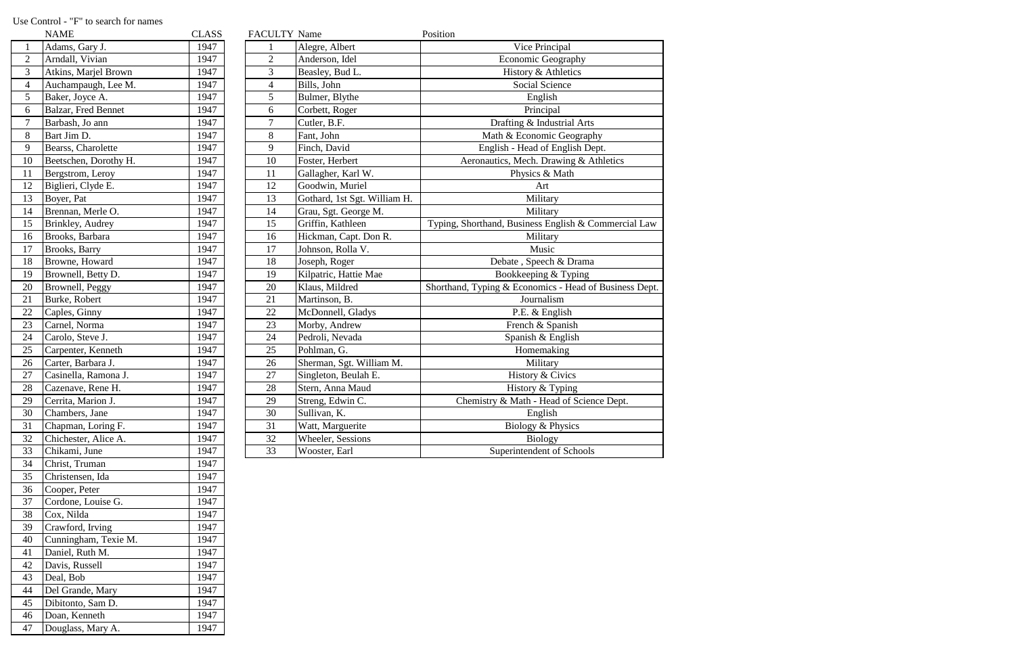|                 | <b>NAME</b>              | <b>CLASS</b> | <b>FACULTY Name</b> |                              | Position                                               |
|-----------------|--------------------------|--------------|---------------------|------------------------------|--------------------------------------------------------|
| $\mathbf{1}$    | Adams, Gary J.           | 1947         |                     | Alegre, Albert               | Vice Principal                                         |
| $\overline{c}$  | Arndall, Vivian          | 1947         | $\overline{2}$      | Anderson, Idel               | Economic Geography                                     |
| 3               | Atkins, Marjel Brown     | 1947         | 3                   | Beasley, Bud L.              | History & Athletics                                    |
| $\overline{4}$  | Auchampaugh, Lee M.      | 1947         | $\overline{4}$      | Bills, John                  | Social Science                                         |
| $\overline{5}$  | Baker, Joyce A.          | 1947         | 5                   | Bulmer, Blythe               | English                                                |
| 6               | Balzar, Fred Bennet      | 1947         | 6                   | Corbett, Roger               | Principal                                              |
| $\overline{7}$  | Barbash, Jo ann          | 1947         | $\overline{7}$      | Cutler, B.F.                 | Drafting & Industrial Arts                             |
| $\, 8$          | Bart Jim D.              | 1947         | 8                   | Fant, John                   | Math & Economic Geography                              |
| 9               | Bearss, Charolette       | 1947         | 9                   | Finch, David                 | English - Head of English Dept.                        |
| 10              | Beetschen, Dorothy H.    | 1947         | 10                  | Foster, Herbert              | Aeronautics, Mech. Drawing & Athletics                 |
| 11              | Bergstrom, Leroy         | 1947         | 11                  | Gallagher, Karl W.           | Physics & Math                                         |
| 12              | Biglieri, Clyde E.       | 1947         | 12                  | Goodwin, Muriel              | Art                                                    |
| $\overline{13}$ | Boyer, Pat               | 1947         | 13                  | Gothard, 1st Sgt. William H. | Military                                               |
| 14              | Brennan, Merle O.        | 1947         | 14                  | Grau, Sgt. George M.         | Military                                               |
| 15              | <b>Brinkley</b> , Audrey | 1947         | 15                  | Griffin, Kathleen            | Typing, Shorthand, Business English & Commercial Law   |
| 16              | Brooks, Barbara          | 1947         | 16                  | Hickman, Capt. Don R.        | Military                                               |
| 17              | <b>Brooks</b> , Barry    | 1947         | 17                  | Johnson, Rolla V.            | Music                                                  |
| 18              | Browne, Howard           | 1947         | 18                  | Joseph, Roger                | Debate, Speech & Drama                                 |
| 19              | Brownell, Betty D.       | 1947         | 19                  | Kilpatric, Hattie Mae        | Bookkeeping & Typing                                   |
| 20              | Brownell, Peggy          | 1947         | 20                  | Klaus, Mildred               | Shorthand, Typing & Economics - Head of Business Dept. |
| $\overline{21}$ | Burke, Robert            | 1947         | 21                  | Martinson, B.                | Journalism                                             |
| 22              | Caples, Ginny            | 1947         | 22                  | McDonnell, Gladys            | P.E. & English                                         |
| $\overline{23}$ | Carnel, Norma            | 1947         | 23                  | Morby, Andrew                | French & Spanish                                       |
| $\overline{24}$ | Carolo, Steve J.         | 1947         | 24                  | Pedroli, Nevada              | Spanish & English                                      |
| 25              | Carpenter, Kenneth       | 1947         | 25                  | Pohlman, G.                  | Homemaking                                             |
| 26              | Carter, Barbara J.       | 1947         | 26                  | Sherman, Sgt. William M.     | Military                                               |
| 27              | Casinella, Ramona J.     | 1947         | 27                  | Singleton, Beulah E.         | History & Civics                                       |
| 28              | Cazenave, Rene H.        | 1947         | 28                  | Stern, Anna Maud             | History & Typing                                       |
| 29              | Cerrita, Marion J.       | 1947         | 29                  | Streng, Edwin C.             | Chemistry & Math - Head of Science Dept.               |
| 30              | Chambers, Jane           | 1947         | 30                  | Sullivan, K.                 | English                                                |
| 31              | Chapman, Loring F.       | 1947         | 31                  | Watt, Marguerite             | Biology & Physics                                      |
| 32              | Chichester, Alice A.     | 1947         | 32                  | Wheeler, Sessions            | <b>Biology</b>                                         |
| $\overline{33}$ | Chikami, June            | 1947         | 33                  | Wooster, Earl                | Superintendent of Schools                              |

|                | NAME                  | CLASS |
|----------------|-----------------------|-------|
| $\mathbf{1}$   | Adams, Gary J.        | 1947  |
| $\overline{2}$ | Arndall, Vivian       | 1947  |
| 3              | Atkins, Marjel Brown  | 1947  |
| $\overline{4}$ | Auchampaugh, Lee M.   | 1947  |
| 5              | Baker, Joyce A.       | 1947  |
| 6              | Balzar, Fred Bennet   | 1947  |
| $\overline{7}$ | Barbash, Jo ann       | 1947  |
| 8              | Bart Jim D.           | 1947  |
| 9              | Bearss, Charolette    | 1947  |
| 10             | Beetschen, Dorothy H. | 1947  |
| 11             | Bergstrom, Leroy      | 1947  |
| 12             | Biglieri, Clyde E.    | 1947  |
| 13             | Boyer, Pat            | 1947  |
| 14             | Brennan, Merle O.     | 1947  |
| 15             | Brinkley, Audrey      | 1947  |
| 16             | Brooks, Barbara       | 1947  |
| 17             | Brooks, Barry         | 1947  |
| 18             | Browne, Howard        | 1947  |
| 19             | Brownell, Betty D.    | 1947  |
| 20             | Brownell, Peggy       | 1947  |
| 21             | Burke, Robert         | 1947  |
| 22             | Caples, Ginny         | 1947  |
| 23             | Carnel, Norma         | 1947  |
| 24             | Carolo, Steve J.      | 1947  |
| 25             | Carpenter, Kenneth    | 1947  |
| 26             | Carter, Barbara J.    | 1947  |
| 27             | Casinella, Ramona J.  | 1947  |
| 28             | Cazenave, Rene H.     | 1947  |
| 29             | Cerrita, Marion J.    | 1947  |
| 30             | Chambers, Jane        | 1947  |
| 31             | Chapman, Loring F.    | 1947  |
| 32             | Chichester, Alice A.  | 1947  |
| 33             | Chikami, June         | 1947  |
| 34             | Christ, Truman        | 1947  |
| 35             | Christensen, Ida      | 1947  |
| 36             | Cooper, Peter         | 1947  |
| 37             | Cordone, Louise G.    | 1947  |
| 38             | Cox, Nilda            | 1947  |
| 39             | Crawford, Irving      | 1947  |
| 40             | Cunningham, Texie M.  | 1947  |
| 41             | Daniel, Ruth M.       | 1947  |
| 42             | Davis, Russell        | 1947  |
| 43             | Deal, Bob             | 1947  |
| 44             | Del Grande, Mary      | 1947  |
| 45             | Dibitonto, Sam D.     | 1947  |
| 46             | Doan, Kenneth         | 1947  |
| 47             | Douglass, Mary A.     | 1947  |
|                |                       |       |

## Use Control - "F" to search for names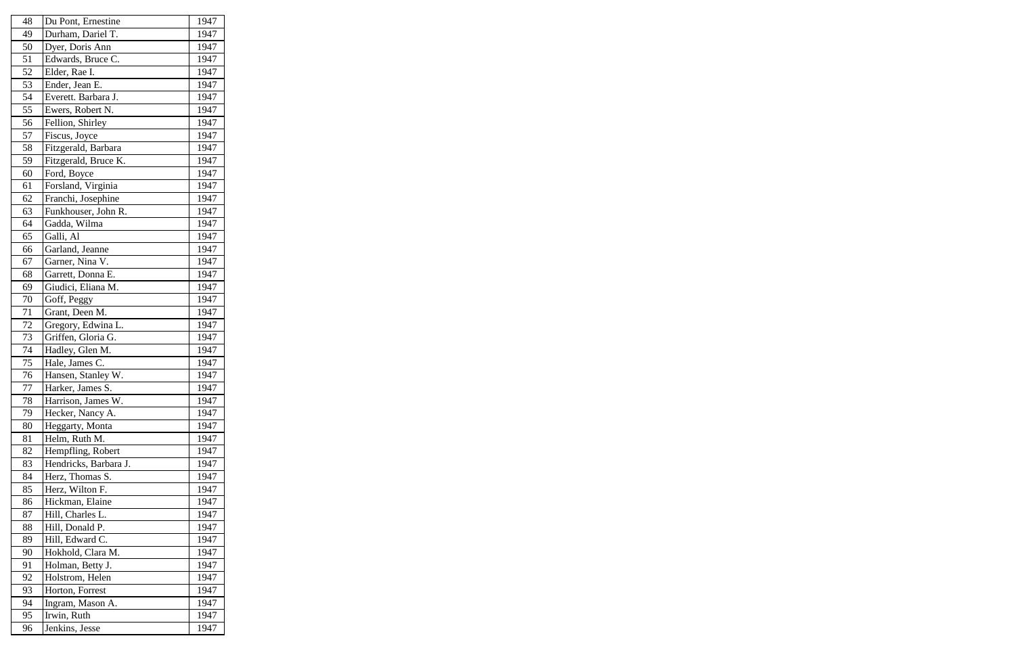| 48     | Du Pont, Ernestine    | 1947 |
|--------|-----------------------|------|
| 49     | Durham, Dariel T.     | 1947 |
| 50     | Dyer, Doris Ann       | 1947 |
| 51     | Edwards, Bruce C.     | 1947 |
| 52     | Elder, Rae I.         | 1947 |
| 53     | Ender, Jean E.        | 1947 |
| 54     | Everett. Barbara J.   | 1947 |
| 55     | Ewers, Robert N.      | 1947 |
| 56     | Fellion, Shirley      | 1947 |
| 57     | Fiscus, Joyce         | 1947 |
| 58     | Fitzgerald, Barbara   | 1947 |
| 59     | Fitzgerald, Bruce K.  | 1947 |
| 60     | Ford, Boyce           | 1947 |
| 61     | Forsland, Virginia    | 1947 |
| 62     | Franchi, Josephine    | 1947 |
| 63     | Funkhouser, John R.   | 1947 |
| 64     | Gadda, Wilma          | 1947 |
| 65     | Galli, Al             | 1947 |
| 66     | Garland, Jeanne       | 1947 |
| 67     | Garner, Nina V.       | 1947 |
| 68     | Garrett, Donna E.     | 1947 |
| 69     | Giudici, Eliana M.    | 1947 |
| 70     | Goff, Peggy           | 1947 |
| 71     | Grant, Deen M.        | 1947 |
| $72\,$ | Gregory, Edwina L.    | 1947 |
| 73     | Griffen, Gloria G.    | 1947 |
| 74     | Hadley, Glen M.       | 1947 |
| 75     | Hale, James C.        | 1947 |
| 76     | Hansen, Stanley W.    | 1947 |
| 77     | Harker, James S.      | 1947 |
| 78     | Harrison, James W.    | 1947 |
| 79     | Hecker, Nancy A.      | 1947 |
| 80     | Heggarty, Monta       | 1947 |
| 81     | Helm, Ruth M.         | 1947 |
| 82     | Hempfling, Robert     | 1947 |
| 83     | Hendricks, Barbara J. | 1947 |
| 84     | Herz, Thomas S.       | 1947 |
| 85     | Herz, Wilton F.       | 1947 |
| 86     | Hickman, Elaine       | 1947 |
|        |                       |      |
| 87     | Hill, Charles L.      | 1947 |
| 88     | Hill, Donald P.       | 1947 |
| 89     | Hill, Edward C.       | 1947 |
| 90     | Hokhold, Clara M.     | 1947 |
| 91     | Holman, Betty J.      | 1947 |
| 92     | Holstrom, Helen       | 1947 |
| 93     | Horton, Forrest       | 1947 |
| 94     | Ingram, Mason A.      | 1947 |
| 95     | Irwin, Ruth           | 1947 |
| 96     | Jenkins, Jesse        | 1947 |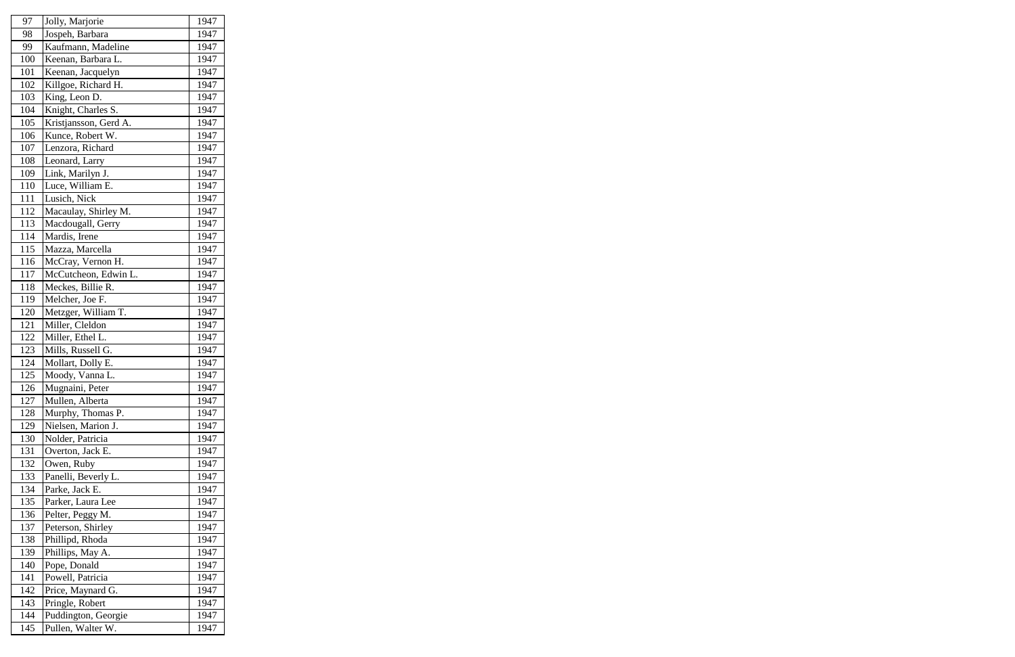| 97  | Jolly, Marjorie       | 1947 |
|-----|-----------------------|------|
| 98  | Jospeh, Barbara       | 1947 |
| 99  | Kaufmann, Madeline    | 1947 |
| 100 | Keenan, Barbara L.    | 1947 |
| 101 | Keenan, Jacquelyn     | 1947 |
| 102 | Killgoe, Richard H.   | 1947 |
| 103 | King, Leon D.         | 1947 |
| 104 | Knight, Charles S.    | 1947 |
| 105 | Kristjansson, Gerd A. | 1947 |
| 106 | Kunce, Robert W.      | 1947 |
| 107 | Lenzora, Richard      | 1947 |
| 108 | Leonard, Larry        | 1947 |
| 109 | Link, Marilyn J.      | 1947 |
| 110 | Luce, William E.      | 1947 |
| 111 | Lusich, Nick          | 1947 |
| 112 | Macaulay, Shirley M.  | 1947 |
| 113 | Macdougall, Gerry     | 1947 |
| 114 | Mardis, Irene         | 1947 |
| 115 | Mazza, Marcella       | 1947 |
| 116 | McCray, Vernon H.     | 1947 |
| 117 | McCutcheon, Edwin L.  | 1947 |
| 118 | Meckes, Billie R.     | 1947 |
| 119 | Melcher, Joe F.       | 1947 |
| 120 | Metzger, William T.   | 1947 |
| 121 | Miller, Cleldon       | 1947 |
| 122 | Miller, Ethel L.      | 1947 |
| 123 | Mills, Russell G.     | 1947 |
| 124 | Mollart, Dolly E.     | 1947 |
| 125 | Moody, Vanna L.       | 1947 |
| 126 | Mugnaini, Peter       | 1947 |
| 127 | Mullen, Alberta       | 1947 |
| 128 | Murphy, Thomas P.     | 1947 |
| 129 | Nielsen, Marion J.    | 1947 |
| 130 | Nolder, Patricia      | 1947 |
| 131 | Overton, Jack E.      | 1947 |
| 132 | Owen, Ruby            | 1947 |
| 133 | Panelli, Beverly L.   | 1947 |
| 134 | Parke, Jack E.        | 1947 |
| 135 | Parker, Laura Lee     | 1947 |
| 136 | Pelter, Peggy M.      | 1947 |
| 137 | Peterson, Shirley     | 1947 |
| 138 | Phillipd, Rhoda       | 1947 |
| 139 | Phillips, May A.      | 1947 |
| 140 | Pope, Donald          | 1947 |
| 141 | Powell, Patricia      | 1947 |
| 142 | Price, Maynard G.     | 1947 |
| 143 | Pringle, Robert       | 1947 |
| 144 | Puddington, Georgie   | 1947 |
| 145 | Pullen, Walter W.     | 1947 |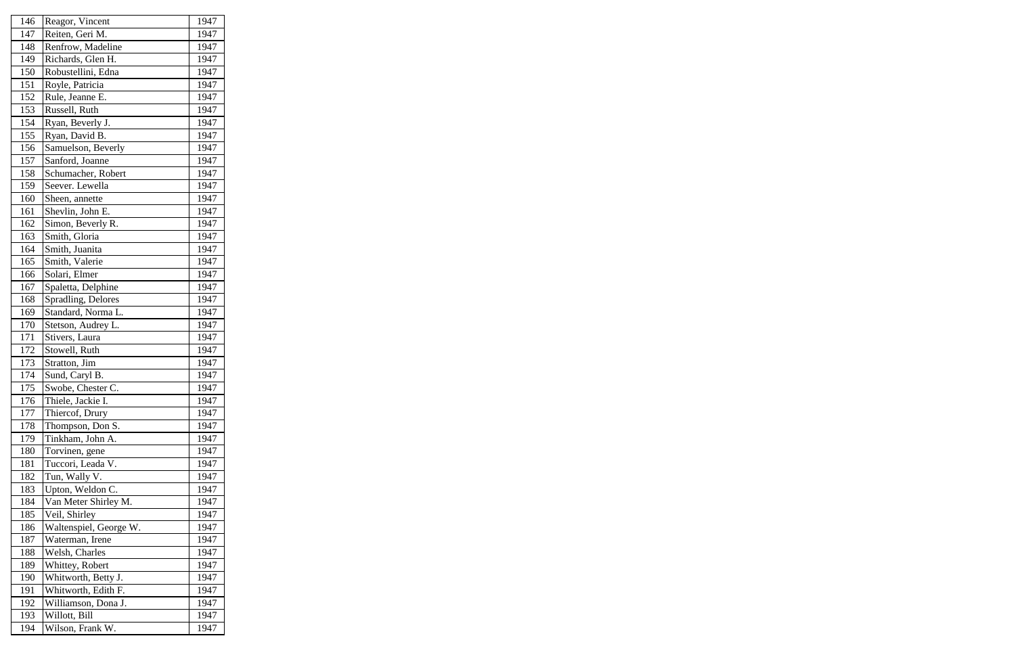| 146 | Reagor, Vincent        | 1947 |
|-----|------------------------|------|
| 147 | Reiten, Geri M.        | 1947 |
| 148 | Renfrow, Madeline      | 1947 |
| 149 | Richards, Glen H.      | 1947 |
| 150 | Robustellini, Edna     | 1947 |
| 151 | Royle, Patricia        | 1947 |
| 152 | Rule, Jeanne E.        | 1947 |
| 153 | Russell, Ruth          | 1947 |
| 154 | Ryan, Beverly J.       | 1947 |
| 155 | Ryan, David B.         | 1947 |
| 156 | Samuelson, Beverly     | 1947 |
| 157 | Sanford, Joanne        | 1947 |
| 158 | Schumacher, Robert     | 1947 |
| 159 | Seever. Lewella        | 1947 |
| 160 | Sheen, annette         | 1947 |
| 161 | Shevlin, John E.       | 1947 |
| 162 | Simon, Beverly R.      | 1947 |
| 163 | Smith, Gloria          | 1947 |
| 164 | Smith, Juanita         | 1947 |
| 165 | Smith, Valerie         | 1947 |
| 166 | Solari, Elmer          | 1947 |
| 167 | Spaletta, Delphine     | 1947 |
| 168 | Spradling, Delores     | 1947 |
| 169 | Standard, Norma L.     | 1947 |
| 170 | Stetson, Audrey L.     | 1947 |
| 171 | Stivers, Laura         | 1947 |
| 172 | Stowell, Ruth          | 1947 |
| 173 | Stratton, Jim          | 1947 |
| 174 | Sund, Caryl B.         | 1947 |
| 175 | Swobe, Chester C.      | 1947 |
| 176 | Thiele, Jackie I.      | 1947 |
| 177 | Thiercof, Drury        | 1947 |
| 178 | Thompson, Don S.       | 1947 |
| 179 | Tinkham, John A.       | 1947 |
| 180 | Torvinen, gene         | 1947 |
| 181 | Tuccori, Leada V.      | 1947 |
| 182 | Tun, Wally V.          | 1947 |
| 183 | Upton, Weldon C.       | 1947 |
| 184 | Van Meter Shirley M.   | 1947 |
| 185 | Veil, Shirley          | 1947 |
| 186 | Waltenspiel, George W. | 1947 |
| 187 | Waterman, Irene        | 1947 |
| 188 | Welsh, Charles         | 1947 |
| 189 | Whittey, Robert        | 1947 |
| 190 | Whitworth, Betty J.    | 1947 |
| 191 | Whitworth, Edith F.    | 1947 |
| 192 | Williamson, Dona J.    | 1947 |
| 193 | Willott, Bill          | 1947 |
| 194 | Wilson, Frank W.       | 1947 |